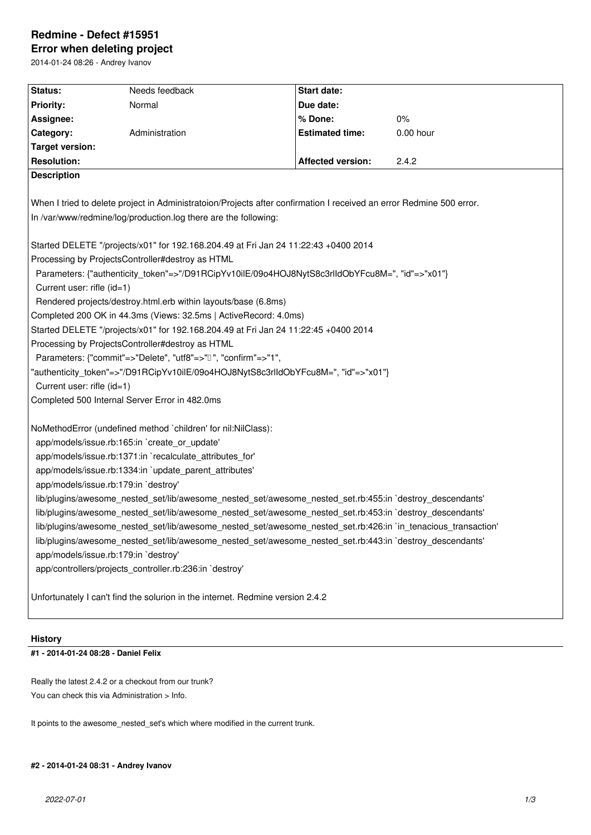# **Redmine - Defect #15951**

**Error when deleting project** 2014-01-24 08:26 - Andrey Ivanov

| Status:                                                                                                                                                                                 | Needs feedback | <b>Start date:</b>       |           |
|-----------------------------------------------------------------------------------------------------------------------------------------------------------------------------------------|----------------|--------------------------|-----------|
| <b>Priority:</b>                                                                                                                                                                        | Normal         | Due date:                |           |
| Assignee:                                                                                                                                                                               |                | % Done:                  | 0%        |
| Category:                                                                                                                                                                               | Administration | <b>Estimated time:</b>   | 0.00 hour |
| <b>Target version:</b>                                                                                                                                                                  |                |                          |           |
| <b>Resolution:</b>                                                                                                                                                                      |                | <b>Affected version:</b> | 2.4.2     |
| <b>Description</b>                                                                                                                                                                      |                |                          |           |
| When I tried to delete project in Administratoion/Projects after confirmation I received an error Redmine 500 error.<br>In /var/www/redmine/log/production.log there are the following: |                |                          |           |
| Started DELETE "/projects/x01" for 192.168.204.49 at Fri Jan 24 11:22:43 +0400 2014                                                                                                     |                |                          |           |
| Processing by ProjectsController#destroy as HTML                                                                                                                                        |                |                          |           |
| Parameters: {"authenticity_token"=>"/D91RCipYv10ilE/09o4HOJ8NytS8c3rlIdObYFcu8M=", "id"=>"x01"}                                                                                         |                |                          |           |
| Current user: rifle (id=1)                                                                                                                                                              |                |                          |           |
| Rendered projects/destroy.html.erb within layouts/base (6.8ms)                                                                                                                          |                |                          |           |
| Completed 200 OK in 44.3ms (Views: 32.5ms   ActiveRecord: 4.0ms)                                                                                                                        |                |                          |           |
| Started DELETE "/projects/x01" for 192.168.204.49 at Fri Jan 24 11:22:45 +0400 2014                                                                                                     |                |                          |           |
| Processing by ProjectsController#destroy as HTML<br>Parameters: {"commit"=>"Delete", "utf8"=>" $\Box$ ", "confirm"=>"1",                                                                |                |                          |           |
| "authenticity_token"=>"/D91RCipYv10ilE/09o4HOJ8NytS8c3rlIdObYFcu8M=", "id"=>"x01"}                                                                                                      |                |                          |           |
| Current user: rifle (id=1)                                                                                                                                                              |                |                          |           |
| Completed 500 Internal Server Error in 482.0ms                                                                                                                                          |                |                          |           |
|                                                                                                                                                                                         |                |                          |           |
| NoMethodError (undefined method `children' for nil:NilClass):                                                                                                                           |                |                          |           |
| app/models/issue.rb:165:in `create_or_update'                                                                                                                                           |                |                          |           |
| app/models/issue.rb:1371:in `recalculate_attributes_for'                                                                                                                                |                |                          |           |
| app/models/issue.rb:1334:in `update_parent_attributes'                                                                                                                                  |                |                          |           |
| app/models/issue.rb:179:in `destroy'                                                                                                                                                    |                |                          |           |
| lib/plugins/awesome_nested_set/lib/awesome_nested_set/awesome_nested_set.rb:455:in `destroy_descendants'                                                                                |                |                          |           |
| lib/plugins/awesome_nested_set/lib/awesome_nested_set/awesome_nested_set.rb:453:in `destroy_descendants'                                                                                |                |                          |           |
| lib/plugins/awesome_nested_set/lib/awesome_nested_set/awesome_nested_set.rb:426:in `in_tenacious_transaction'                                                                           |                |                          |           |
| lib/plugins/awesome_nested_set/lib/awesome_nested_set/awesome_nested_set.rb:443:in `destroy_descendants'                                                                                |                |                          |           |
| app/models/issue.rb:179:in `destroy'                                                                                                                                                    |                |                          |           |
| app/controllers/projects_controller.rb:236:in `destroy'                                                                                                                                 |                |                          |           |
|                                                                                                                                                                                         |                |                          |           |
| Unfortunately I can't find the solurion in the internet. Redmine version 2.4.2                                                                                                          |                |                          |           |

# **History**

**#1 - 2014-01-24 08:28 - Daniel Felix**

Really the latest 2.4.2 or a checkout from our trunk? You can check this via Administration > Info.

It points to the awesome\_nested\_set's which where modified in the current trunk.

# **#2 - 2014-01-24 08:31 - Andrey Ivanov**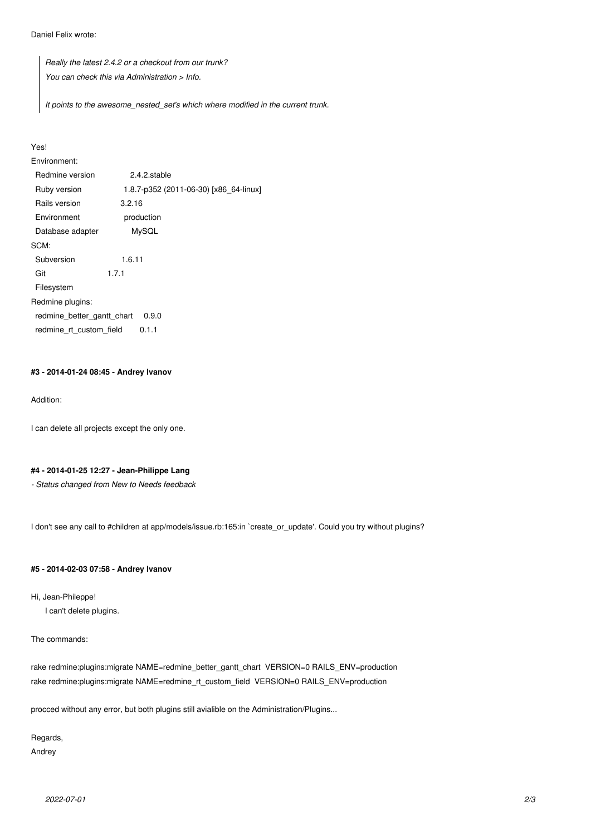Daniel Felix wrote:

*Really the latest 2.4.2 or a checkout from our trunk? You can check this via Administration > Info.*

*It points to the awesome\_nested\_set's which where modified in the current trunk.*

#### Yes!

Environment: Redmine version 2.4.2.stable Ruby version 1.8.7-p352 (2011-06-30) [x86\_64-linux] Rails version 3.2.16 Environment production Database adapter MySQL SCM: Subversion 1.6.11 Git 1.7.1 Filesystem Redmine plugins: redmine\_better\_gantt\_chart 0.9.0 redmine\_rt\_custom\_field 0.1.1

#### **#3 - 2014-01-24 08:45 - Andrey Ivanov**

Addition:

I can delete all projects except the only one.

# **#4 - 2014-01-25 12:27 - Jean-Philippe Lang**

*- Status changed from New to Needs feedback*

I don't see any call to #children at app/models/issue.rb:165:in `create\_or\_update'. Could you try without plugins?

# **#5 - 2014-02-03 07:58 - Andrey Ivanov**

Hi, Jean-Phileppe!

I can't delete plugins.

The commands:

rake redmine:plugins:migrate NAME=redmine\_better\_gantt\_chart VERSION=0 RAILS\_ENV=production rake redmine:plugins:migrate NAME=redmine\_rt\_custom\_field VERSION=0 RAILS\_ENV=production

procced without any error, but both plugins still avialible on the Administration/Plugins...

Regards,

Andrey